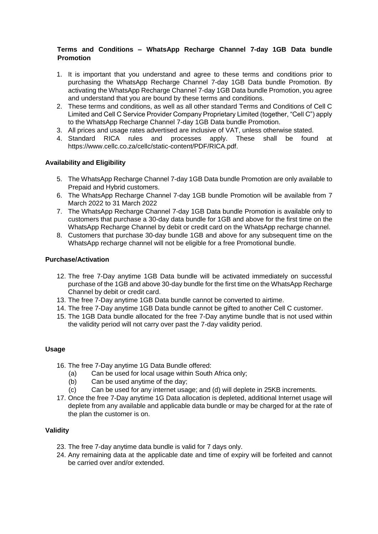# **Terms and Conditions – WhatsApp Recharge Channel 7-day 1GB Data bundle Promotion**

- 1. It is important that you understand and agree to these terms and conditions prior to purchasing the WhatsApp Recharge Channel 7-day 1GB Data bundle Promotion. By activating the WhatsApp Recharge Channel 7-day 1GB Data bundle Promotion, you agree and understand that you are bound by these terms and conditions.
- 2. These terms and conditions, as well as all other standard Terms and Conditions of Cell C Limited and Cell C Service Provider Company Proprietary Limited (together, "Cell C") apply to the WhatsApp Recharge Channel 7-day 1GB Data bundle Promotion.
- 3. All prices and usage rates advertised are inclusive of VAT, unless otherwise stated.
- 4. Standard RICA rules and processes apply. These shall be found at https://www.cellc.co.za/cellc/static-content/PDF/RICA.pdf.

## **Availability and Eligibility**

- 5. The WhatsApp Recharge Channel 7-day 1GB Data bundle Promotion are only available to Prepaid and Hybrid customers.
- 6. The WhatsApp Recharge Channel 7-day 1GB bundle Promotion will be available from 7 March 2022 to 31 March 2022
- 7. The WhatsApp Recharge Channel 7-day 1GB Data bundle Promotion is available only to customers that purchase a 30-day data bundle for 1GB and above for the first time on the WhatsApp Recharge Channel by debit or credit card on the WhatsApp recharge channel.
- 8. Customers that purchase 30-day bundle 1GB and above for any subsequent time on the WhatsApp recharge channel will not be eligible for a free Promotional bundle.

### **Purchase/Activation**

- 12. The free 7-Day anytime 1GB Data bundle will be activated immediately on successful purchase of the 1GB and above 30-day bundle for the first time on the WhatsApp Recharge Channel by debit or credit card.
- 13. The free 7-Day anytime 1GB Data bundle cannot be converted to airtime.
- 14. The free 7-Day anytime 1GB Data bundle cannot be gifted to another Cell C customer.
- 15. The 1GB Data bundle allocated for the free 7-Day anytime bundle that is not used within the validity period will not carry over past the 7-day validity period.

#### **Usage**

- 16. The free 7-Day anytime 1G Data Bundle offered:
	- (a) Can be used for local usage within South Africa only;
	- (b) Can be used anytime of the day;
	- (c) Can be used for any internet usage; and (d) will deplete in 25KB increments.
- 17. Once the free 7-Day anytime 1G Data allocation is depleted, additional Internet usage will deplete from any available and applicable data bundle or may be charged for at the rate of the plan the customer is on.

#### **Validity**

- 23. The free 7-day anytime data bundle is valid for 7 days only.
- 24. Any remaining data at the applicable date and time of expiry will be forfeited and cannot be carried over and/or extended.